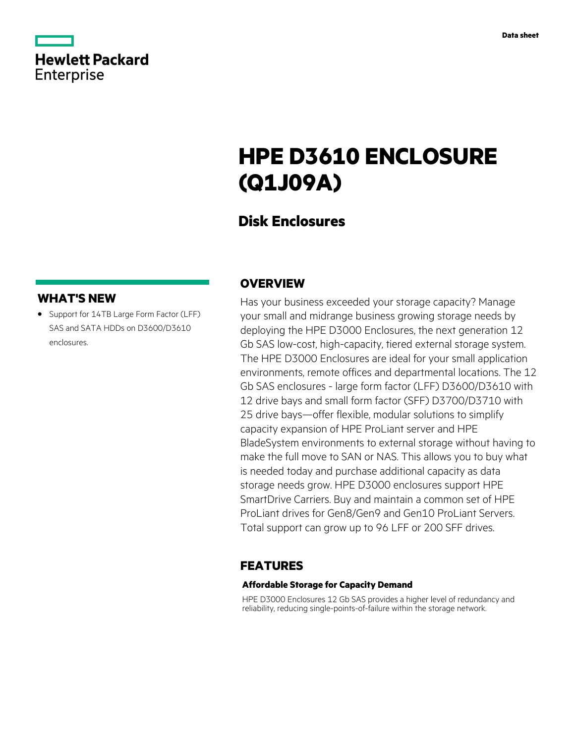|                   | <b>Hewlett Packard</b> |
|-------------------|------------------------|
| <b>Enterprise</b> |                        |

# **HPE D3610 ENCLOSURE (Q1J09A)**

## **Disk Enclosures**

## **WHAT'S NEW**

**·** Support for 14TB Large Form Factor (LFF) SAS and SATA HDDs on D3600/D3610 enclosures.

## **OVERVIEW**

Has your business exceeded your storage capacity? Manage your small and midrange business growing storage needs by deploying the HPE D3000 Enclosures, the next generation 12 Gb SAS low-cost, high-capacity, tiered external storage system. The HPE D3000 Enclosures are ideal for your small application environments, remote offices and departmental locations. The 12 Gb SAS enclosures - large form factor (LFF) D3600/D3610 with 12 drive bays and small form factor (SFF) D3700/D3710 with 25 drive bays—offer flexible, modular solutions to simplify capacity expansion of HPE ProLiant server and HPE BladeSystem environments to external storage without having to make the full move to SAN or NAS. This allows you to buy what is needed today and purchase additional capacity as data storage needs grow. HPE D3000 enclosures support HPE SmartDrive Carriers. Buy and maintain a common set of HPE ProLiant drives for Gen8/Gen9 and Gen10 ProLiant Servers. Total support can grow up to 96 LFF or 200 SFF drives.

### **FEATURES**

#### **Affordable Storage for Capacity Demand**

HPE D3000 Enclosures 12 Gb SAS provides a higher level of redundancy and reliability, reducing single-points-of-failure within the storage network.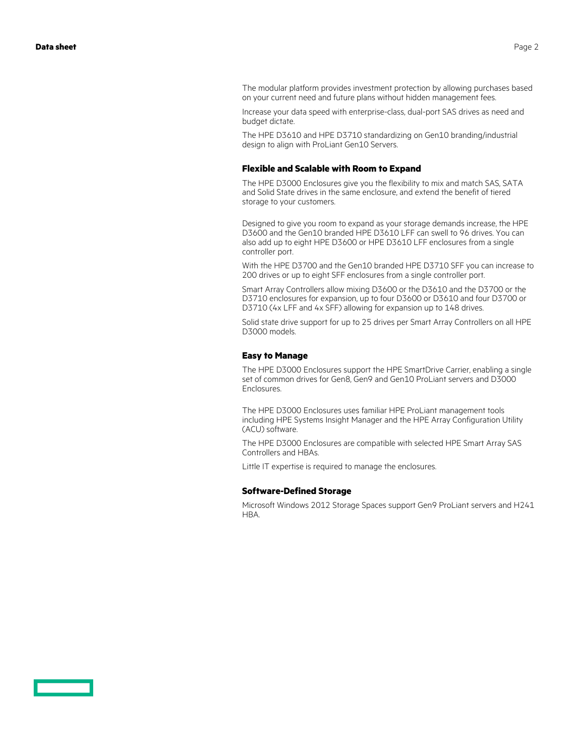The modular platform provides investment protection by allowing purchases based on your current need and future plans without hidden management fees.

Increase your data speed with enterprise-class, dual-port SAS drives as need and budget dictate.

The HPE D3610 and HPE D3710 standardizing on Gen10 branding/industrial design to align with ProLiant Gen10 Servers.

#### **Flexible and Scalable with Room to Expand**

The HPE D3000 Enclosures give you the flexibility to mix and match SAS, SATA and Solid State drives in the same enclosure, and extend the benefit of tiered storage to your customers.

Designed to give you room to expand as your storage demands increase, the HPE D3600 and the Gen10 branded HPE D3610 LFF can swell to 96 drives. You can also add up to eight HPE D3600 or HPE D3610 LFF enclosures from a single controller port.

With the HPE D3700 and the Gen10 branded HPE D3710 SFF you can increase to 200 drives or up to eight SFF enclosures from a single controller port.

Smart Array Controllers allow mixing D3600 or the D3610 and the D3700 or the D3710 enclosures for expansion, up to four D3600 or D3610 and four D3700 or D3710 (4x LFF and 4x SFF) allowing for expansion up to 148 drives.

Solid state drive support for up to 25 drives per Smart Array Controllers on all HPE D3000 models.

#### **Easy to Manage**

The HPE D3000 Enclosures support the HPE SmartDrive Carrier, enabling a single set of common drives for Gen8, Gen9 and Gen10 ProLiant servers and D3000 Enclosures.

The HPE D3000 Enclosures uses familiar HPE ProLiant management tools including HPE Systems Insight Manager and the HPE Array Configuration Utility (ACU) software.

The HPE D3000 Enclosures are compatible with selected HPE Smart Array SAS Controllers and HBAs.

Little IT expertise is required to manage the enclosures.

#### **Software-Defined Storage**

Microsoft Windows 2012 Storage Spaces support Gen9 ProLiant servers and H241 HBA.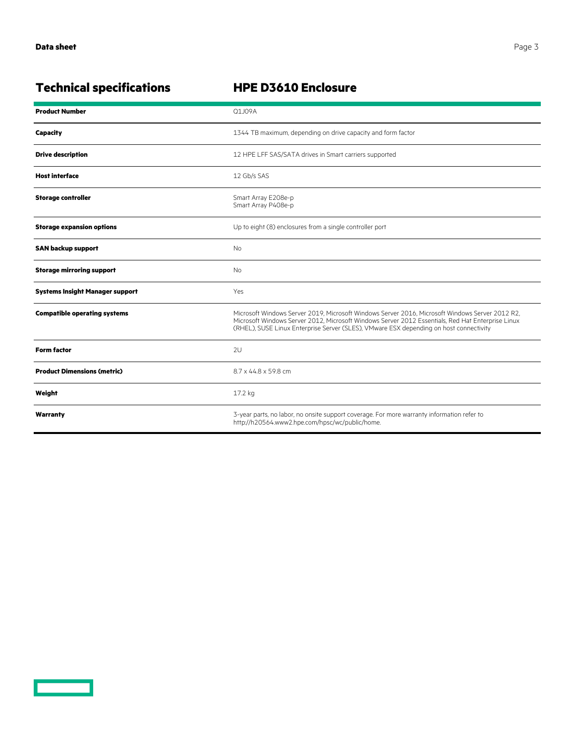<u>a sa saidh an s</u>

## **HPE D3610 Enclosure**

| <b>Product Number</b>                  | Q1J09A                                                                                                                                                                                                                                                                                         |
|----------------------------------------|------------------------------------------------------------------------------------------------------------------------------------------------------------------------------------------------------------------------------------------------------------------------------------------------|
| Capacity                               | 1344 TB maximum, depending on drive capacity and form factor                                                                                                                                                                                                                                   |
| <b>Drive description</b>               | 12 HPE LFF SAS/SATA drives in Smart carriers supported                                                                                                                                                                                                                                         |
| <b>Host interface</b>                  | 12 Gb/s SAS                                                                                                                                                                                                                                                                                    |
| <b>Storage controller</b>              | Smart Array E208e-p<br>Smart Array P408e-p                                                                                                                                                                                                                                                     |
| <b>Storage expansion options</b>       | Up to eight (8) enclosures from a single controller port                                                                                                                                                                                                                                       |
| <b>SAN backup support</b>              | <b>No</b>                                                                                                                                                                                                                                                                                      |
| <b>Storage mirroring support</b>       | <b>No</b>                                                                                                                                                                                                                                                                                      |
| <b>Systems Insight Manager support</b> | Yes                                                                                                                                                                                                                                                                                            |
| <b>Compatible operating systems</b>    | Microsoft Windows Server 2019, Microsoft Windows Server 2016, Microsoft Windows Server 2012 R2,<br>Microsoft Windows Server 2012, Microsoft Windows Server 2012 Essentials, Red Hat Enterprise Linux<br>(RHEL), SUSE Linux Enterprise Server (SLES), VMware ESX depending on host connectivity |
| <b>Form factor</b>                     | 2U                                                                                                                                                                                                                                                                                             |
| <b>Product Dimensions (metric)</b>     | 8.7 x 44.8 x 59.8 cm                                                                                                                                                                                                                                                                           |
| Weight                                 | 17.2 kg                                                                                                                                                                                                                                                                                        |
| Warranty                               | 3-year parts, no labor, no onsite support coverage. For more warranty information refer to<br>http://h20564.www2.hpe.com/hpsc/wc/public/home.                                                                                                                                                  |